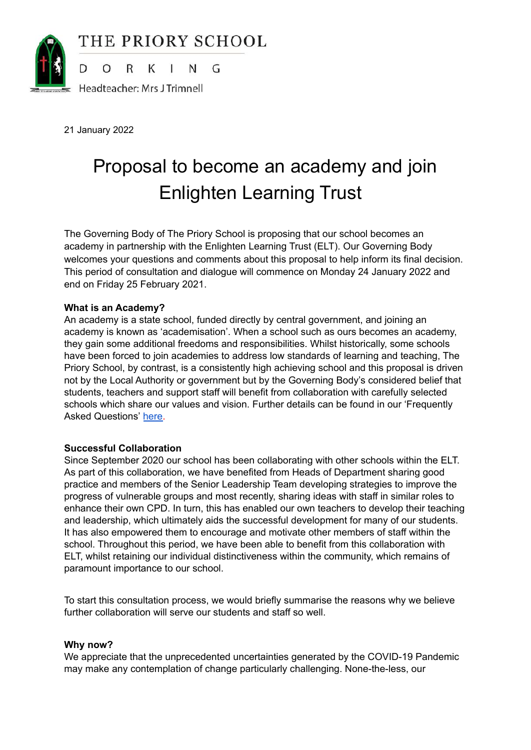

21 January 2022

# Proposal to become an academy and join Enlighten Learning Trust

The Governing Body of The Priory School is proposing that our school becomes an academy in partnership with the Enlighten Learning Trust (ELT). Our Governing Body welcomes your questions and comments about this proposal to help inform its final decision. This period of consultation and dialogue will commence on Monday 24 January 2022 and end on Friday 25 February 2021.

# **What is an Academy?**

An academy is a state school, funded directly by central government, and joining an academy is known as 'academisation'. When a school such as ours becomes an academy, they gain some additional freedoms and responsibilities. Whilst historically, some schools have been forced to join academies to address low standards of learning and teaching, The Priory School, by contrast, is a consistently high achieving school and this proposal is driven not by the Local Authority or government but by the Governing Body's considered belief that students, teachers and support staff will benefit from collaboration with carefully selected schools which share our values and vision. Further details can be found in our 'Frequently Asked Questions' [here.](https://docs.google.com/document/d/1bsXeMyay_q81Emjgr-C7WTSv6VxsijAn_95QUwQvIgM/edit)

## **Successful Collaboration**

Since September 2020 our school has been collaborating with other schools within the ELT. As part of this collaboration, we have benefited from Heads of Department sharing good practice and members of the Senior Leadership Team developing strategies to improve the progress of vulnerable groups and most recently, sharing ideas with staff in similar roles to enhance their own CPD. In turn, this has enabled our own teachers to develop their teaching and leadership, which ultimately aids the successful development for many of our students. It has also empowered them to encourage and motivate other members of staff within the school. Throughout this period, we have been able to benefit from this collaboration with ELT, whilst retaining our individual distinctiveness within the community, which remains of paramount importance to our school.

To start this consultation process, we would briefly summarise the reasons why we believe further collaboration will serve our students and staff so well.

## **Why now?**

We appreciate that the unprecedented uncertainties generated by the COVID-19 Pandemic may make any contemplation of change particularly challenging. None-the-less, our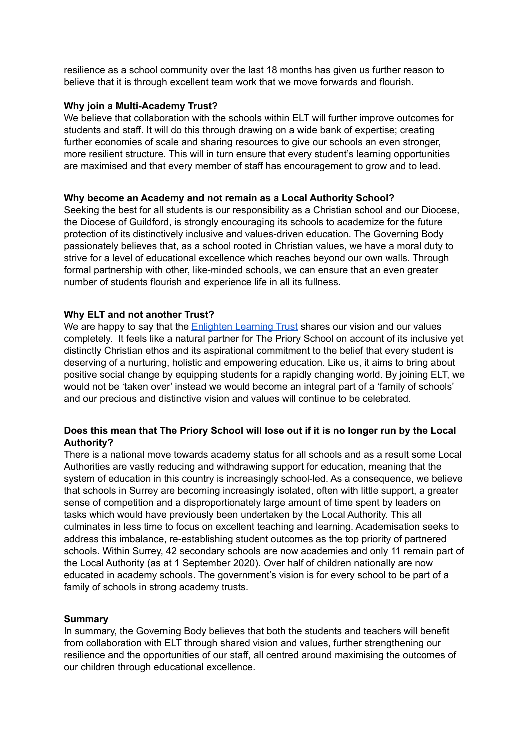resilience as a school community over the last 18 months has given us further reason to believe that it is through excellent team work that we move forwards and flourish.

## **Why join a Multi-Academy Trust?**

We believe that collaboration with the schools within ELT will further improve outcomes for students and staff. It will do this through drawing on a wide bank of expertise; creating further economies of scale and sharing resources to give our schools an even stronger, more resilient structure. This will in turn ensure that every student's learning opportunities are maximised and that every member of staff has encouragement to grow and to lead.

#### **Why become an Academy and not remain as a Local Authority School?**

Seeking the best for all students is our responsibility as a Christian school and our Diocese, the Diocese of Guildford, is strongly encouraging its schools to academize for the future protection of its distinctively inclusive and values-driven education. The Governing Body passionately believes that, as a school rooted in Christian values, we have a moral duty to strive for a level of educational excellence which reaches beyond our own walls. Through formal partnership with other, like-minded schools, we can ensure that an even greater number of students flourish and experience life in all its fullness.

## **Why ELT and not another Trust?**

We are happy to say that the [Enlighten](https://www.enlightenlt.education/about-elt/elt-vision) Learning Trust shares our vision and our values completely. It feels like a natural partner for The Priory School on account of its inclusive yet distinctly Christian ethos and its aspirational commitment to the belief that every student is deserving of a nurturing, holistic and empowering education. Like us, it aims to bring about positive social change by equipping students for a rapidly changing world. By joining ELT, we would not be 'taken over' instead we would become an integral part of a 'family of schools' and our precious and distinctive vision and values will continue to be celebrated.

# **Does this mean that The Priory School will lose out if it is no longer run by the Local Authority?**

There is a national move towards academy status for all schools and as a result some Local Authorities are vastly reducing and withdrawing support for education, meaning that the system of education in this country is increasingly school-led. As a consequence, we believe that schools in Surrey are becoming increasingly isolated, often with little support, a greater sense of competition and a disproportionately large amount of time spent by leaders on tasks which would have previously been undertaken by the Local Authority. This all culminates in less time to focus on excellent teaching and learning. Academisation seeks to address this imbalance, re-establishing student outcomes as the top priority of partnered schools. Within Surrey, 42 secondary schools are now academies and only 11 remain part of the Local Authority (as at 1 September 2020). Over half of children nationally are now educated in academy schools. The government's vision is for every school to be part of a family of schools in strong academy trusts.

#### **Summary**

In summary, the Governing Body believes that both the students and teachers will benefit from collaboration with ELT through shared vision and values, further strengthening our resilience and the opportunities of our staff, all centred around maximising the outcomes of our children through educational excellence.